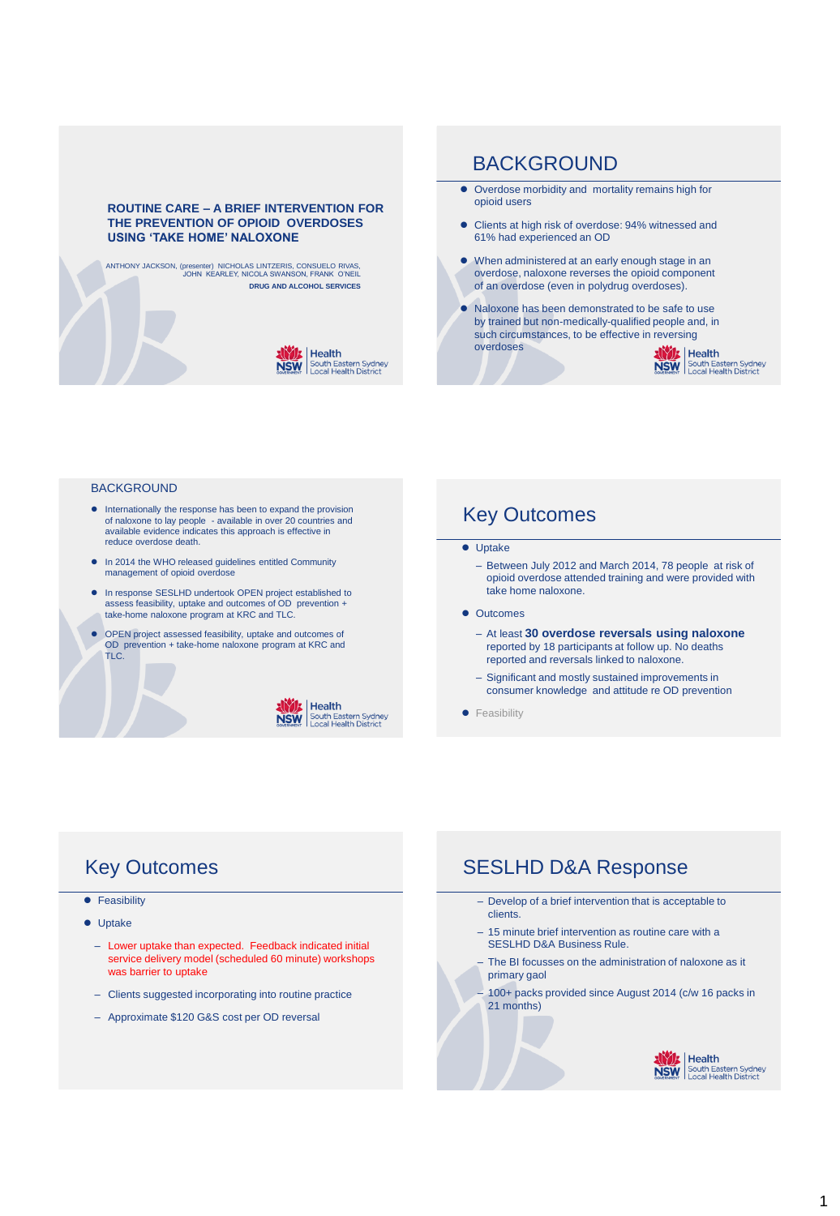#### **ROUTINE CARE – A BRIEF INTERVENTION FOR THE PREVENTION OF OPIOID OVERDOSES USING 'TAKE HOME' NALOXONE**

ANTHONY JACKSON, (presenter) NICHOLAS LINTZERIS, CONSUELO RIVAS, JOHN KEARLEY, NICOLA SWANSON, FRANK O'NEIL **DRUG AND ALCOHOL SERVICES** 



### BACKGROUND

- Overdose morbidity and mortality remains high for opioid users
- Clients at high risk of overdose: 94% witnessed and 61% had experienced an OD
- When administered at an early enough stage in an overdose, naloxone reverses the opioid component of an overdose (even in polydrug overdoses).
- Naloxone has been demonstrated to be safe to use by trained but non-medically-qualified people and, in such circumstances, to be effective in reversing overdoses



#### **BACKGROUND**

- $\bullet$  Internationally the response has been to expand the provision of naloxone to lay people - available in over 20 countries and available evidence indicates this approach is effective in reduce overdose death.
- In 2014 the WHO released guidelines entitled Community management of opioid overdose
- In response SESLHD undertook OPEN project established to assess feasibility, uptake and outcomes of OD prevention + take-home naloxone program at KRC and TLC.
- OPEN project assessed feasibility, uptake and outcomes of OD prevention + take-home naloxone program at KRC and TLC.



### Key Outcomes

#### **•** Uptake

- Between July 2012 and March 2014, 78 people at risk of opioid overdose attended training and were provided with take home naloxone.
- **•** Outcomes
	- At least **30 overdose reversals using naloxone**  reported by 18 participants at follow up. No deaths reported and reversals linked to naloxone.
	- Significant and mostly sustained improvements in consumer knowledge and attitude re OD prevention
- **•** Feasibility

# Key Outcomes

- **•** Feasibility
- **•** Uptake
	- Lower uptake than expected. Feedback indicated initial service delivery model (scheduled 60 minute) workshops was barrier to uptake
	- Clients suggested incorporating into routine practice
	- Approximate \$120 G&S cost per OD reversal

## SESLHD D&A Response

- Develop of a brief intervention that is acceptable to clients.
- 15 minute brief intervention as routine care with a SESLHD D&A Business Rule.
- The BI focusses on the administration of naloxone as it primary gaol
- 100+ packs provided since August 2014 (c/w 16 packs in 21 months)

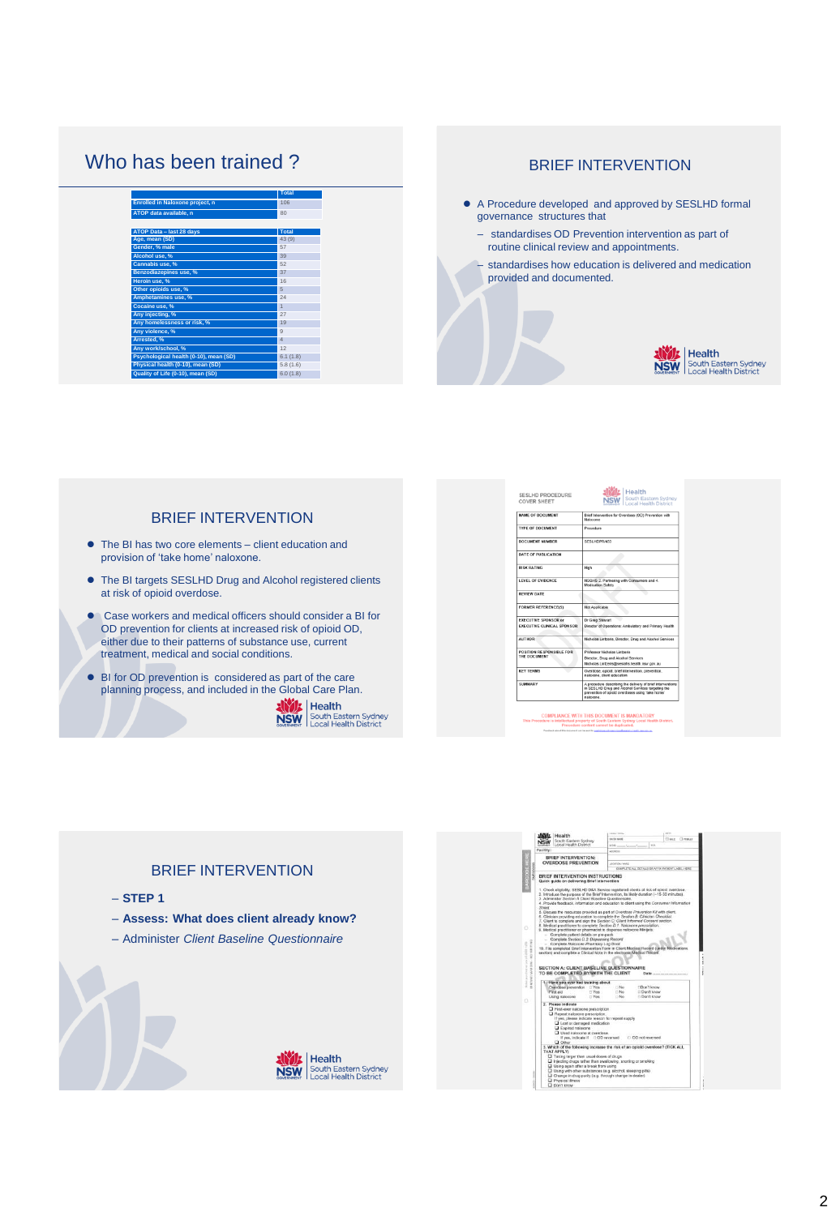# Who has been trained ?

|                                        | <b>Total</b>   |
|----------------------------------------|----------------|
| Enrolled in Naloxone project, n        | 106            |
| ATOP data available, n                 | 80             |
|                                        |                |
| ATOP Data - last 28 days               | Total          |
| Age, mean (SD)                         | 43 (9)         |
| Gender, % male                         | 57             |
| Alcohol use, %                         | 39             |
| Cannabis use, %                        | 52             |
| Benzodiazepines use, %                 | 37             |
| Heroin use. %                          | 16             |
| Other opioids use, %                   | 5              |
| Amphetamines use, %                    | 24             |
| Cocaine use, %                         | $\overline{1}$ |
| Any injecting, %                       | 27             |
| Any homelessness or risk. %            | 19             |
| Any violence, %                        | $\overline{9}$ |
| Arrested, %                            | $\Delta$       |
| Any work/school, %                     | 12             |
| Psychological health (0-10), mean (SD) | 6.1(1.8)       |
| Physical health (0-10), mean (SD)      | 5.8(1.6)       |
| Quality of Life (0-10), mean (SD)      | 6.0(1.8)       |

### BRIEF INTERVENTION

- A Procedure developed and approved by SESLHD formal governance structures that
	- standardises OD Prevention intervention as part of routine clinical review and appointments.
	- standardises how education is delivered and medication provided and documented.



### BRIEF INTERVENTION

- The BI has two core elements client education and provision of 'take home' naloxone.
- The BI targets SESLHD Drug and Alcohol registered clients at risk of opioid overdose.
- Case workers and medical officers should consider a BI for OD prevention for clients at increased risk of opioid OD, either due to their patterns of substance use, current treatment, medical and social conditions.
- BI for OD prevention is considered as part of the care planning process, and included in the Global Care Plan.<br> **AND:** | Health



| SESLHD PROCEDURE<br><b>COVER SHEET</b>   | E Health<br>South Eastern Sydney<br>Local Health District                                                                                                                         |  |
|------------------------------------------|-----------------------------------------------------------------------------------------------------------------------------------------------------------------------------------|--|
| <b>NAME OF DOCUMENT</b>                  | Brief Intervention for Overdose (OD) Prevention with<br>Malinummer                                                                                                                |  |
| <b>TYPE OF DOCUMENT</b>                  | Procedure                                                                                                                                                                         |  |
| DOCUMENT NUMBER                          | SESLHDPR/433                                                                                                                                                                      |  |
| <b>DATE OF PUBLICATION</b>               |                                                                                                                                                                                   |  |
| <b>RISK RATING</b>                       | High                                                                                                                                                                              |  |
| LEVEL OF EVIDENCE                        | NSQHS 2. Partnering with Consumers and 4.<br>Medication Safety                                                                                                                    |  |
| <b>REVIEW DATE</b>                       |                                                                                                                                                                                   |  |
| <b>FORMER REFERENCE(S)</b>               | Not Applicable                                                                                                                                                                    |  |
| <b>EXECUTIVE SPONSOR or</b>              | Dr Greg Stewart                                                                                                                                                                   |  |
| <b>EXECUTIVE CLINICAL SPONSOR</b>        | Director of Operations: Ambulatory and Primary Health                                                                                                                             |  |
| <b>AUTHOR</b>                            | Nicholas Lintzeris, Director, Drug and Alcohol Services                                                                                                                           |  |
| POSITION RESPONSIBLE FOR<br>THE DOCUMENT | Professor Nicholas Listzeris                                                                                                                                                      |  |
|                                          | Director, Drug and Alcohol Services                                                                                                                                               |  |
|                                          | Nicholas Lintzeris@sesiahs.health.nsw.gov.au                                                                                                                                      |  |
| <b>KEY TERMS</b>                         | Overdose, opioid, brief intervention, prevention,<br>naloxone, client education                                                                                                   |  |
| SUMMARY                                  | A procedure describing the delivery of brief interventions<br>in SESLHD Drug and Alcohol Services targeting the<br>prevention of opioid overdoses using 'take home'<br>nalexcone. |  |

BRIEF INTERVENTION – **STEP 1** – **Assess: What does client already know?**  – Administer *Client Baseline Questionnaire* Don<br>Don<br>Don the risk of an opioid overdose? (TICK **NSW**<br>NSW South Eastern Sydney<br>NSW Local Health District ivel doses of drugs<br>than swallowing, anorting or smoking<br>reak from valog<br>stances (e.g. alsolool, aliesping pills)<br>r (e.g. through change in dealer) hol, sleeping pills)<br>ange in dealer)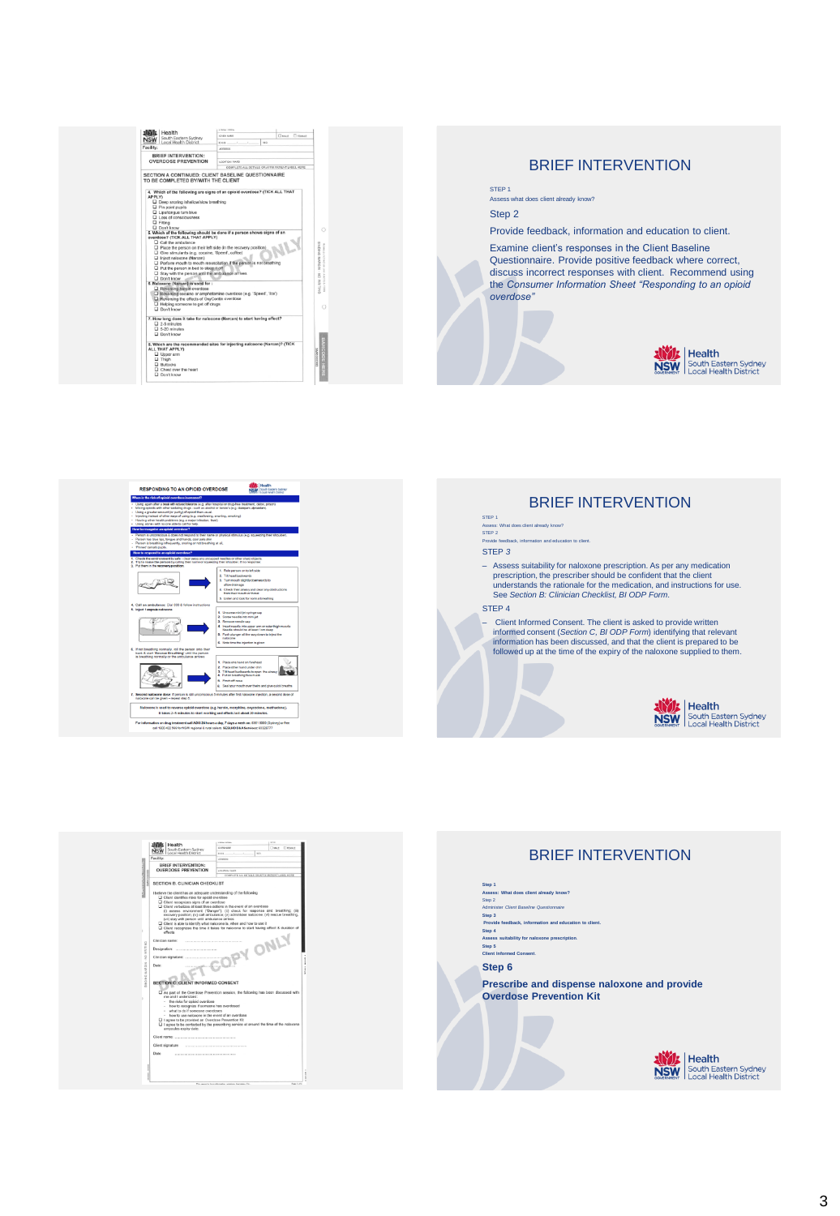



 $\begin{array}{|l|l|}\hline \textbf{30001} & \textbf{Health} & \textcolor{red}{\textbf{30000}} & \textcolor{red}{\textbf{30000}} & \textcolor{red}{\textbf{300000}} & \textcolor{red}{\textbf{300000}} & \textcolor{red}{\textbf{3000000}} & \textcolor{red}{\textbf{3000000}} & \textcolor{red}{\textbf{3000000}} & \textcolor{red}{\textbf{3000000}} & \textcolor{red}{\textbf{300000000000000000000000000000000$ eilty:<br>BRIEF INTERVENTION:<br>OVERDOSE PREVENTION N R. CLINICIAN CHECKLIST

g

(vi) ata<br>Client<br>Client<br>offects

 $rac{1}{2}$ 

TION C: CLIENT INF<br>As part of the Overdon<br>me and I understand:<br>- the risks for opicial of<br>- how to secognize if it<br>- what to do if someon<br>- how to use naissans N C: CLIENT INFORMED CO  $\begin{array}{c} \begin{array}{c} \text{mod} \\ \text{mod} \end{array} & \begin{array}{c} \text{mod} \\ \text{mod} \end{array} \end{array}$  ,  $\begin{array}{c} \begin{array}{c} \text{mod} \\ \text{mod} \end{array} & \begin{array}{c} \text{mod} \\ \text{mod} \end{array} \end{array}$ 

overclose<br>a actions in the event of an overdose<br>anger"); (ii) check for response and breathing; (iii)<br>bulance; (v) administer malcocone; (vi) rescue breathing;

son until ambulance arrives<br>Jentify what naloxono is, when and how to use it<br>I the time it takes for naloxone to start having effect & duration 

overdos<br>micn Kit

### BRIEF INTERVENTION

### STEP 1 Assess: What does client already know? STEP 2

Provide feedback, information and education and education and education and education to contact in the education of the contact in the Provide Superior and education to contact in the contact in the contact in the contact

#### STEP *3*

- Assess suitability for naloxone prescription. As per any medication<br>prescription, the prescriber should be confident that the client<br>understands the rationale for the medication, and instructions for use.<br>See Section B:

#### STEP 4

- Client Informed Consent. The client is asked to provide written<br>informed consent (Section C, BI ODP Form) identifying that relevant<br>information has been discussed, and that the client is prepared to be<br>followed up at the



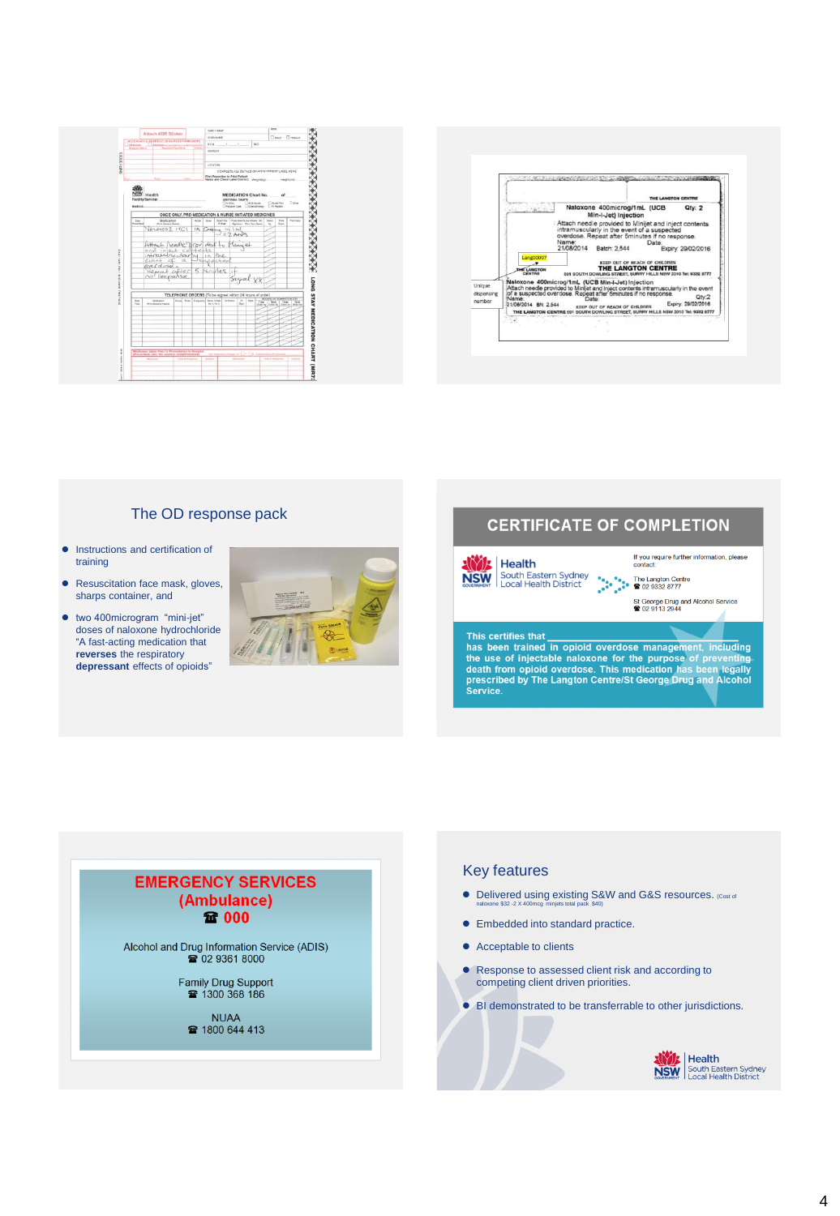



#### The OD response pack

- **•** Instructions and certification of training
- Resuscitation face mask, gloves, sharps container, and
- two 400microgram "mini-jet" doses of naloxone hydrochloride "A fast-acting medication that **reverses** the respiratory **depressant** effects of opioids"



### **CERTIFICATE OF COMPLETION**

If you require further information, please<br>contact: **ANDISHIP CONTRACT CONTRACT CONTRACT SUBSTITUTE OF A STATE OF A STATE OF A STATE OF A STATE OF A STATE OF A STATE OF A STATE OF A STATE OF A STATE OF A STATE OF A STATE OF A STATE OF A STATE OF A STATE OF A STATE OF A STAT** St George Drug and Alcohol Service<br><sup>2</sup> 02 9113 2944

#### This certifies that

**Xivit** | Health

This certifies that<br>has been trained in opioid overdose management, including<br>the use of injectable naloxone for the purpose of preventing<br>death from opioid overdose. This medication has been legally<br>prescribed by The Lang

# **EMERGENCY SERVICES** (Ambulance) **量 000** Alcohol and Drug Information Service (ADIS)<br>
2 02 9361 8000 Family Drug Support<br>1300 368 186 **NUAA** ■ 1800 644 413

#### Key features

- **•** Delivered using existing S&W and G&S resources. (Cost of naloxone \$32 -2 X 400mcg minjets total pack \$40)
- **•** Embedded into standard practice.
- Acceptable to clients
- Response to assessed client risk and according to competing client driven priorities.
- BI demonstrated to be transferrable to other jurisdictions.